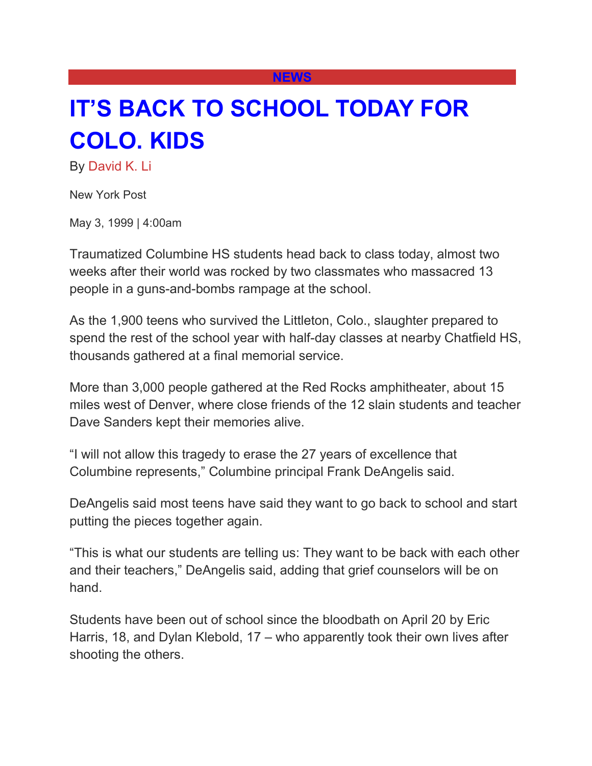## **[NEWS](https://nypost.com/news/)**

## **[IT'S BACK TO SCHOOL TODAY FOR](https://nypost.com/1999/05/03/its-back-to-school-today-for-colo-kids/)  [COLO. KIDS](https://nypost.com/1999/05/03/its-back-to-school-today-for-colo-kids/)**

By [David K. Li](https://nypost.com/author/david-k-li/)

New York Post

May 3, 1999 | 4:00am

Traumatized Columbine HS students head back to class today, almost two weeks after their world was rocked by two classmates who massacred 13 people in a guns-and-bombs rampage at the school.

As the 1,900 teens who survived the Littleton, Colo., slaughter prepared to spend the rest of the school year with half-day classes at nearby Chatfield HS, thousands gathered at a final memorial service.

More than 3,000 people gathered at the Red Rocks amphitheater, about 15 miles west of Denver, where close friends of the 12 slain students and teacher Dave Sanders kept their memories alive.

"I will not allow this tragedy to erase the 27 years of excellence that Columbine represents," Columbine principal Frank DeAngelis said.

DeAngelis said most teens have said they want to go back to school and start putting the pieces together again.

"This is what our students are telling us: They want to be back with each other and their teachers," DeAngelis said, adding that grief counselors will be on hand.

Students have been out of school since the bloodbath on April 20 by Eric Harris, 18, and Dylan Klebold, 17 – who apparently took their own lives after shooting the others.